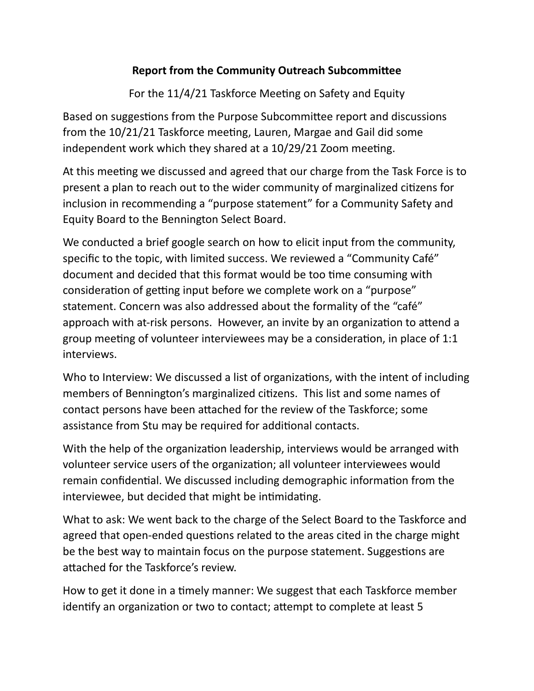## **Report from the Community Outreach Subcommittee**

For the 11/4/21 Taskforce Meeting on Safety and Equity

Based on suggestions from the Purpose Subcommittee report and discussions from the 10/21/21 Taskforce meeting, Lauren, Margae and Gail did some independent work which they shared at a 10/29/21 Zoom meeting.

At this meeting we discussed and agreed that our charge from the Task Force is to present a plan to reach out to the wider community of marginalized citizens for inclusion in recommending a "purpose statement" for a Community Safety and Equity Board to the Bennington Select Board.

We conducted a brief google search on how to elicit input from the community, specific to the topic, with limited success. We reviewed a "Community Café" document and decided that this format would be too time consuming with consideration of getting input before we complete work on a "purpose" statement. Concern was also addressed about the formality of the "café" approach with at-risk persons. However, an invite by an organization to attend a group meeting of volunteer interviewees may be a consideration, in place of 1:1 interviews. 

Who to Interview: We discussed a list of organizations, with the intent of including members of Bennington's marginalized citizens. This list and some names of contact persons have been attached for the review of the Taskforce; some assistance from Stu may be required for additional contacts.

With the help of the organization leadership, interviews would be arranged with volunteer service users of the organization; all volunteer interviewees would remain confidential. We discussed including demographic information from the interviewee, but decided that might be intimidating.

What to ask: We went back to the charge of the Select Board to the Taskforce and agreed that open-ended questions related to the areas cited in the charge might be the best way to maintain focus on the purpose statement. Suggestions are attached for the Taskforce's review.

How to get it done in a timely manner: We suggest that each Taskforce member identify an organization or two to contact; attempt to complete at least 5